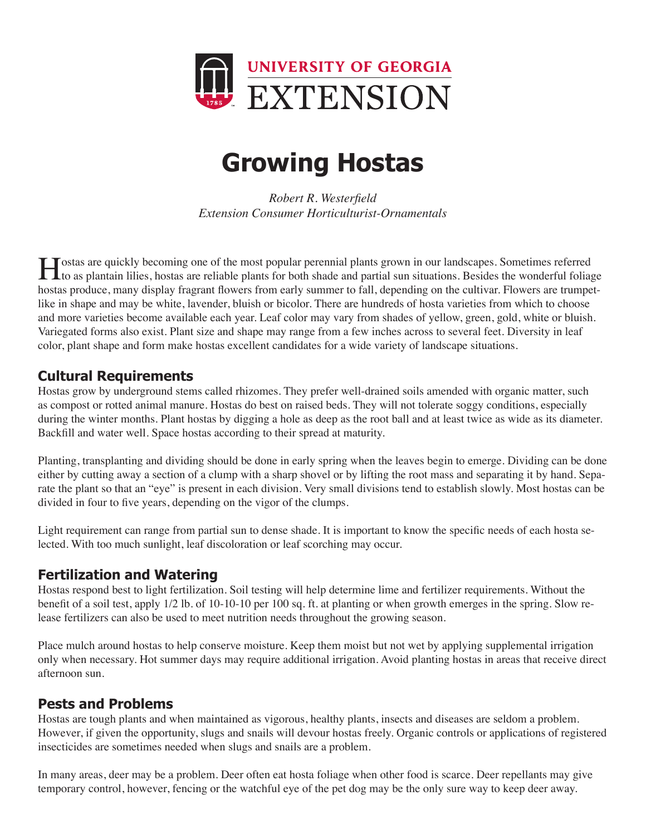

# **Growing Hostas**

*Robert R. Westerfield Extension Consumer Horticulturist-Ornamentals*

A ostas are quickly becoming one of the most popular perennial plants grown in our landscapes. Sometimes referred<br>to as plantain lilies, hostas are reliable plants for both shade and partial sun situations. Besides the won hostas produce, many display fragrant flowers from early summer to fall, depending on the cultivar. Flowers are trumpetlike in shape and may be white, lavender, bluish or bicolor. There are hundreds of hosta varieties from which to choose and more varieties become available each year. Leaf color may vary from shades of yellow, green, gold, white or bluish. Variegated forms also exist. Plant size and shape may range from a few inches across to several feet. Diversity in leaf color, plant shape and form make hostas excellent candidates for a wide variety of landscape situations.

### **Cultural Requirements**

Hostas grow by underground stems called rhizomes. They prefer well-drained soils amended with organic matter, such as compost or rotted animal manure. Hostas do best on raised beds. They will not tolerate soggy conditions, especially during the winter months. Plant hostas by digging a hole as deep as the root ball and at least twice as wide as its diameter. Backfill and water well. Space hostas according to their spread at maturity.

Planting, transplanting and dividing should be done in early spring when the leaves begin to emerge. Dividing can be done either by cutting away a section of a clump with a sharp shovel or by lifting the root mass and separating it by hand. Separate the plant so that an "eye" is present in each division. Very small divisions tend to establish slowly. Most hostas can be divided in four to five years, depending on the vigor of the clumps.

Light requirement can range from partial sun to dense shade. It is important to know the specific needs of each hosta selected. With too much sunlight, leaf discoloration or leaf scorching may occur.

#### **Fertilization and Watering**

Hostas respond best to light fertilization. Soil testing will help determine lime and fertilizer requirements. Without the benefit of a soil test, apply 1/2 lb. of 10-10-10 per 100 sq. ft. at planting or when growth emerges in the spring. Slow release fertilizers can also be used to meet nutrition needs throughout the growing season.

Place mulch around hostas to help conserve moisture. Keep them moist but not wet by applying supplemental irrigation only when necessary. Hot summer days may require additional irrigation. Avoid planting hostas in areas that receive direct afternoon sun.

#### **Pests and Problems**

Hostas are tough plants and when maintained as vigorous, healthy plants, insects and diseases are seldom a problem. However, if given the opportunity, slugs and snails will devour hostas freely. Organic controls or applications of registered insecticides are sometimes needed when slugs and snails are a problem.

In many areas, deer may be a problem. Deer often eat hosta foliage when other food is scarce. Deer repellants may give temporary control, however, fencing or the watchful eye of the pet dog may be the only sure way to keep deer away.